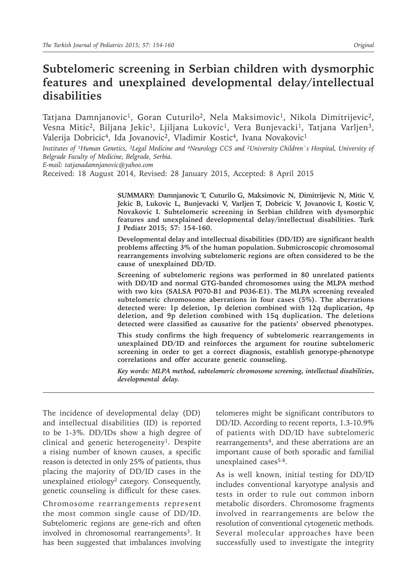# **Subtelomeric screening in Serbian children with dysmorphic features and unexplained developmental delay/intellectual disabilities**

Tatjana Damnjanovic<sup>1</sup>, Goran Cuturilo<sup>2</sup>, Nela Maksimovic<sup>1</sup>, Nikola Dimitrijevic<sup>2</sup>, Vesna Mitic<sup>2</sup>, Biljana Jekic<sup>1</sup>, Ljiljana Lukovic<sup>1</sup>, Vera Bunjevacki<sup>1</sup>, Tatjana Varljen<sup>3</sup>, Valerija Dobricic<sup>4</sup>, Ida Jovanovic<sup>2</sup>, Vladimir Kostic<sup>4</sup>, Ivana Novakovic<sup>1</sup>

*Institutes of 1Human Genetics, 3Legal Medicine and 4Neurology CCS and 2University Children`s Hospital, University of Belgrade Faculty of Medicine, Belgrade, Serbia.* 

*E-mail: tatjanadamnjanovic@yahoo.com*

Received: 18 August 2014, Revised: 28 January 2015, Accepted: 8 April 2015

**SUMMARY: Damnjanovic T, Cuturilo G, Maksimovic N, Dimitrijevic N, Mitic V, Jekic B, Lukovic L, Bunjevacki V, Varljen T, Dobricic V, Jovanovic I, Kostic V, Novakovic I. Subtelomeric screening in Serbian children with dysmorphic features and unexplained developmental delay/intellectual disabilities. Turk J Pediatr 2015; 57: 154-160.**

**Developmental delay and intellectual disabilities (DD/ID) are significant health problems affecting 3% of the human population. Submicroscopic chromosomal rearrangements involving subtelomeric regions are often considered to be the cause of unexplained DD/ID.** 

**Screening of subtelomeric regions was performed in 80 unrelated patients with DD/ID and normal GTG-banded chromosomes using the MLPA method with two kits (SALSA P070-B1 and P036-E1). The MLPA screening revealed subtelomeric chromosome aberrations in four cases (5%). The aberrations detected were: 1p deletion, 1p deletion combined with 12q duplication, 4p deletion, and 9p deletion combined with 15q duplication. The deletions detected were classified as causative for the patients' observed phenotypes.**

**This study confirms the high frequency of subtelomeric rearrangements in unexplained DD/ID and reinforces the argument for routine subtelomeric screening in order to get a correct diagnosis, establish genotype-phenotype correlations and offer accurate genetic counseling.**

*Key words: MLPA method, subtelomeric chromosome screening, intellectual disabilities, developmental delay.*

The incidence of developmental delay (DD) and intellectual disabilities (ID) is reported to be 1-3%. DD/IDs show a high degree of clinical and genetic heterogeneity<sup>1</sup>. Despite a rising number of known causes, a specific reason is detected in only 25% of patients, thus placing the majority of DD/ID cases in the unexplained etiology<sup>2</sup> category. Consequently, genetic counseling is difficult for these cases.

Chromosome rearrangements represent the most common single cause of DD/ID. Subtelomeric regions are gene-rich and often involved in chromosomal rearrangements<sup>3</sup>. It has been suggested that imbalances involving

telomeres might be significant contributors to DD/ID. According to recent reports, 1.3-10.9% of patients with DD/ID have subtelomeric rearrangements<sup>4</sup>, and these aberrations are an important cause of both sporadic and familial unexplained cases<sup>5-8</sup>.

As is well known, initial testing for DD/ID includes conventional karyotype analysis and tests in order to rule out common inborn metabolic disorders. Chromosome fragments involved in rearrangements are below the resolution of conventional cytogenetic methods. Several molecular approaches have been successfully used to investigate the integrity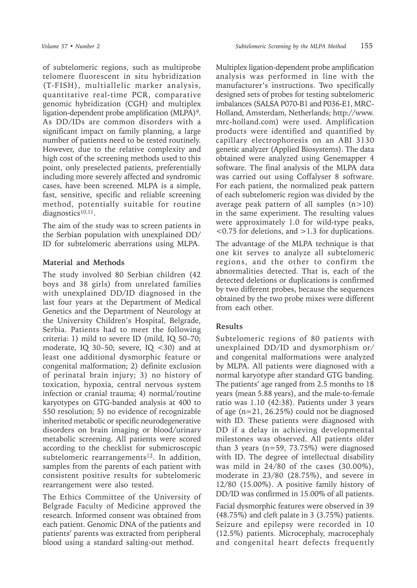of subtelomeric regions, such as multiprobe telomere fluorescent in situ hybridization (T-FISH), multiallelic marker analysis, quantitative real-time PCR, comparative genomic hybridization (CGH) and multiplex ligation-dependent probe amplification (MLPA)9. As DD/IDs are common disorders with a significant impact on family planning, a large number of patients need to be tested routinely. However, due to the relative complexity and high cost of the screening methods used to this point, only preselected patients, preferentially including more severely affected and syndromic cases, have been screened. MLPA is a simple, fast, sensitive, specific and reliable screening method, potentially suitable for routine diagnostics<sup>10,11</sup>.

The aim of the study was to screen patients in the Serbian population with unexplained DD/ ID for subtelomeric aberrations using MLPA.

# **Material and Methods**

The study involved 80 Serbian children (42 boys and 38 girls) from unrelated families with unexplained DD/ID diagnosed in the last four years at the Department of Medical Genetics and the Department of Neurology at the University Children's Hospital, Belgrade, Serbia. Patients had to meet the following criteria: 1) mild to severe ID (mild, IQ 50–70; moderate, IQ 30–50; severe, IQ  $<$  30) and at least one additional dysmorphic feature or congenital malformation; 2) definite exclusion of perinatal brain injury; 3) no history of toxication, hypoxia, central nervous system infection or cranial trauma; 4) normal/routine karyotypes on GTG-banded analysis at 400 to 550 resolution; 5) no evidence of recognizable inherited metabolic or specific neurodegenerative disorders on brain imaging or blood/urinary metabolic screening. All patients were scored according to the checklist for submicroscopic subtelomeric rearrangements<sup>12</sup>. In addition, samples from the parents of each patient with consistent positive results for subtelomeric rearrangement were also tested.

The Ethics Committee of the University of Belgrade Faculty of Medicine approved the research. Informed consent was obtained from each patient. Genomic DNA of the patients and patients' parents was extracted from peripheral blood using a standard salting-out method.

Multiplex ligation-dependent probe amplification analysis was performed in line with the manufacturer's instructions. Two specifically designed sets of probes for testing subtelomeric imbalances (SALSA P070-B1 and P036-E1, MRC-Holland, Amsterdam, Netherlands; http://www. mrc-holland.com) were used. Amplification products were identified and quantified by capillary electrophoresis on an ABI 3130 genetic analyzer (Applied Biosystems). The data obtained were analyzed using Genemapper 4 software. The final analysis of the MLPA data was carried out using Coffalyser 8 software. For each patient, the normalized peak pattern of each subtelomeric region was divided by the average peak pattern of all samples  $(n>10)$ in the same experiment. The resulting values were approximately 1.0 for wild-type peaks, <0.75 for deletions, and >1.3 for duplications.

The advantage of the MLPA technique is that one kit serves to analyze all subtelomeric regions, and the other to confirm the abnormalities detected. That is, each of the detected deletions or duplications is confirmed by two different probes, because the sequences obtained by the two probe mixes were different from each other.

# **Results**

Subtelomeric regions of 80 patients with unexplained DD/ID and dysmorphism or/ and congenital malformations were analyzed by MLPA. All patients were diagnosed with a normal karyotype after standard GTG banding. The patients' age ranged from 2.5 months to 18 years (mean 5.88 years), and the male-to-female ratio was 1.10 (42:38). Patients under 3 years of age (n=21, 26.25%) could not be diagnosed with ID. These patients were diagnosed with DD if a delay in achieving developmental milestones was observed. All patients older than 3 years (n=59, 73.75%) were diagnosed with ID. The degree of intellectual disability was mild in 24/80 of the cases (30.00%), moderate in 23/80 (28.75%), and severe in 12/80 (15.00%). A positive family history of DD/ID was confirmed in 15.00% of all patients.

Facial dysmorphic features were observed in 39 (48.75%) and cleft palate in 3 (3.75%) patients. Seizure and epilepsy were recorded in 10 (12.5%) patients. Microcephaly, macrocephaly and congenital heart defects frequently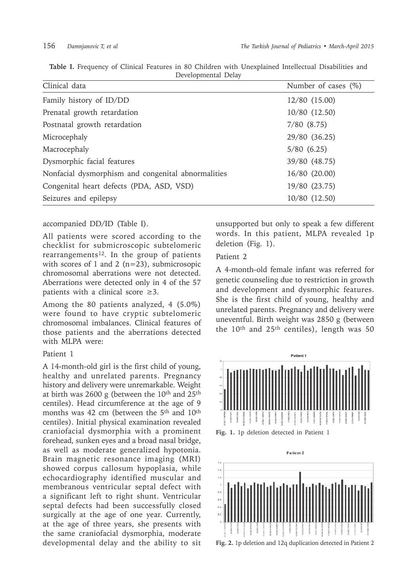| Clinical data                                      | Number of cases $(\%)$ |
|----------------------------------------------------|------------------------|
| Family history of ID/DD                            | 12/80 (15.00)          |
| Prenatal growth retardation                        | 10/80 (12.50)          |
| Postnatal growth retardation                       | $7/80$ $(8.75)$        |
| Microcephaly                                       | 29/80 (36.25)          |
| Macrocephaly                                       | 5/80(6.25)             |
| Dysmorphic facial features                         | 39/80 (48.75)          |
| Nonfacial dysmorphism and congenital abnormalities | 16/80 (20.00)          |
| Congenital heart defects (PDA, ASD, VSD)           | 19/80 (23.75)          |
| Seizures and epilepsy                              | 10/80 (12.50)          |

**Table I.** Frequency of Clinical Features in 80 Children with Unexplained Intellectual Disabilities and Developmental Delay

#### accompanied DD/ID (Table I).

All patients were scored according to the checklist for submicroscopic subtelomeric rearrangements<sup>12</sup>. In the group of patients with scores of 1 and 2  $(n=23)$ , submicrosopic chromosomal aberrations were not detected. Aberrations were detected only in 4 of the 57 patients with a clinical score  $\geq 3$ .

Among the 80 patients analyzed, 4 (5.0%) were found to have cryptic subtelomeric chromosomal imbalances. Clinical features of those patients and the aberrations detected with MLPA were:

#### Patient 1

A 14-month-old girl is the first child of young, healthy and unrelated parents. Pregnancy history and delivery were unremarkable. Weight at birth was 2600 g (between the  $10<sup>th</sup>$  and  $25<sup>th</sup>$ centiles). Head circumference at the age of 9 months was 42 cm (between the 5<sup>th</sup> and 10<sup>th</sup> centiles). Initial physical examination revealed craniofacial dysmorphia with a prominent forehead, sunken eyes and a broad nasal bridge, as well as moderate generalized hypotonia. Brain magnetic resonance imaging (MRI) showed corpus callosum hypoplasia, while echocardiography identified muscular and membranous ventricular septal defect with a significant left to right shunt. Ventricular septal defects had been successfully closed surgically at the age of one year. Currently, at the age of three years, she presents with the same craniofacial dysmorphia, moderate developmental delay and the ability to sit unsupported but only to speak a few different words. In this patient, MLPA revealed 1p deletion (Fig. 1).

# Patient 2

A 4-month-old female infant was referred for genetic counseling due to restriction in growth and development and dysmorphic features. She is the first child of young, healthy and unrelated parents. Pregnancy and delivery were uneventful. Birth weight was 2850 g (between the 10<sup>th</sup> and 25<sup>th</sup> centiles), length was 50



**Fig. 1.** 1p deletion detected in Patient 1



**Fig. 2.** 1p deletion and 12q duplication detected in Patient 2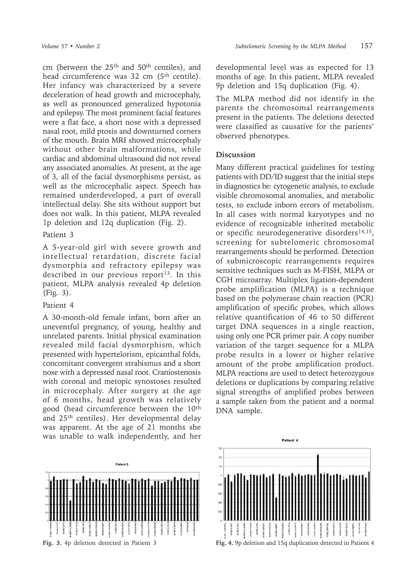cm (between the 25th and 50th centiles), and head circumference was 32 cm (5<sup>th</sup> centile). Her infancy was characterized by a severe deceleration of head growth and microcephaly, as well as pronounced generalized hypotonia and epilepsy. The most prominent facial features were a flat face, a short nose with a depressed nasal root, mild ptosis and downturned corners of the mouth. Brain MRI showed microcephaly without other brain malformations, while cardiac and abdominal ultrasound did not reveal any associated anomalies. At present, at the age of 3, all of the facial dysmorphisms persist, as well as the microcephalic aspect. Speech has remained underdeveloped, a part of overall intellectual delay. She sits without support but does not walk. In this patient, MLPA revealed 1p deletion and 12q duplication (Fig. 2).

#### Patient 3

A 5-year-old girl with severe growth and intellectual retardation, discrete facial dysmorphia and refractory epilepsy was described in our previous report<sup>13</sup>. In this patient, MLPA analysis revealed 4p deletion (Fig. 3).

## Patient 4

A 30-month-old female infant, born after an uneventful pregnancy, of young, healthy and unrelated parents. Initial physical examination revealed mild facial dysmorphism, which presented with hypertelorism, epicanthal folds, concomitant convergent strabismus and a short nose with a depressed nasal root. Craniostenosis with coronal and metopic synostoses resulted in microcephaly. After surgery at the age of 6 months, head growth was relatively good (head circumference between the 10<sup>th</sup> and 25th centiles). Her developmental delay was apparent. At the age of 21 months she was unable to walk independently, and her



developmental level was as expected for 13 months of age. In this patient, MLPA revealed 9p deletion and 15q duplication (Fig. 4).

The MLPA method did not identify in the parents the chromosomal rearrangements present in the patients. The deletions detected were classified as causative for the patients' observed phenotypes.

### **Discussion**

Many different practical guidelines for testing patients with DD/ID suggest that the initial steps in diagnostics be: cytogenetic analysis, to exclude visible chromosomal anomalies, and metabolic tests, to exclude inborn errors of metabolism. In all cases with normal karyotypes and no evidence of recognizable inherited metabolic or specific neurodegenerative disorders $14,15$ , screening for subtelomeric chromosomal rearrangements should be performed. Detection of submicroscopic rearrangements requires sensitive techniques such as M-FISH, MLPA or CGH microarray. Multiplex ligation-dependent probe amplification (MLPA) is a technique based on the polymerase chain reaction (PCR) amplification of specific probes, which allows relative quantification of 46 to 50 different target DNA sequences in a single reaction, using only one PCR primer pair. A copy number variation of the target sequence for a MLPA probe results in a lower or higher relative amount of the probe amplification product. MLPA reactions are used to detect heterozygous deletions or duplications by comparing relative signal strengths of amplified probes between a sample taken from the patient and a normal DNA sample.

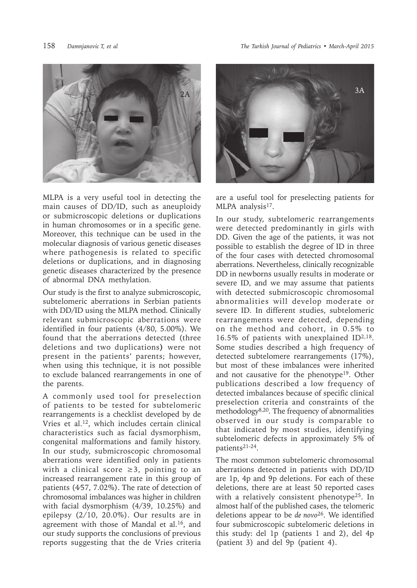

MLPA is a very useful tool in detecting the main causes of DD/ID, such as aneuploidy or submicroscopic deletions or duplications in human chromosomes or in a specific gene. Moreover, this technique can be used in the molecular diagnosis of various genetic diseases where pathogenesis is related to specific deletions or duplications, and in diagnosing genetic diseases characterized by the presence of abnormal DNA methylation.

Our study is the first to analyze submicroscopic, subtelomeric aberrations in Serbian patients with DD/ID using the MLPA method. Clinically relevant submicroscopic aberrations were identified in four patients (4/80, 5.00%). We found that the aberrations detected (three deletions and two duplications**)** were not present in the patients' parents; however, when using this technique, it is not possible to exclude balanced rearrangements in one of the parents.

A commonly used tool for preselection of patients to be tested for subtelomeric rearrangements is a checklist developed by de Vries et al.<sup>12</sup>, which includes certain clinical characteristics such as facial dysmorphism, congenital malformations and family history. In our study, submicroscopic chromosomal aberrations were identified only in patients with a clinical score  $\geq$ 3, pointing to an increased rearrangement rate in this group of patients (4∕57, 7.02%). The rate of detection of chromosomal imbalances was higher in children with facial dysmorphism (4/39, 10.25%) and epilepsy (2/10, 20.0%). Our results are in agreement with those of Mandal et al.<sup>16</sup>, and our study supports the conclusions of previous reports suggesting that the de Vries criteria



are a useful tool for preselecting patients for MLPA analysis<sup>17</sup>.

In our study, subtelomeric rearrangements were detected predominantly in girls with DD. Given the age of the patients, it was not possible to establish the degree of ID in three of the four cases with detected chromosomal aberrations. Nevertheless, clinically recognizable DD in newborns usually results in moderate or severe ID, and we may assume that patients with detected submicroscopic chromosomal abnormalities will develop moderate or severe ID. In different studies, subtelomeric rearrangements were detected, depending on the method and cohort, in 0.5% to 16.5% of patients with unexplained ID2,18. Some studies described a high frequency of detected subtelomere rearrangements (17%), but most of these imbalances were inherited and not causative for the phenotype<sup>19</sup>. Other publications described a low frequency of detected imbalances because of specific clinical preselection criteria and constraints of the methodology8,20. The frequency of abnormalities observed in our study is comparable to that indicated by most studies, identifying subtelomeric defects in approximately 5% of patients21-24.

The most common subtelomeric chromosomal aberrations detected in patients with DD/ID are 1p, 4p and 9p deletions. For each of these deletions, there are at least 50 reported cases with a relatively consistent phenotype<sup>25</sup>. In almost half of the published cases, the telomeric deletions appear to be *de novo*<sup>26</sup>. We identified four submicroscopic subtelomeric deletions in this study: del 1p (patients 1 and 2), del 4p (patient 3) and del 9p (patient 4).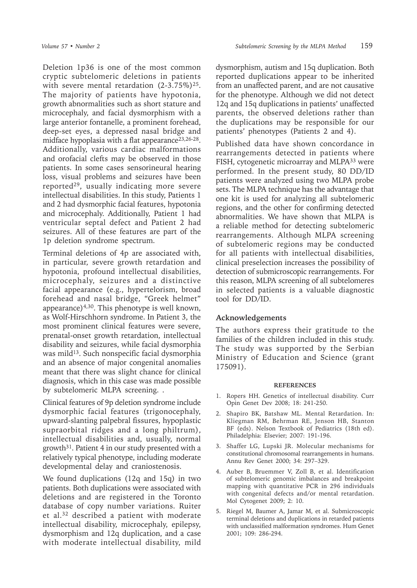Deletion 1p36 is one of the most common cryptic subtelomeric deletions in patients with severe mental retardation  $(2-3.75\%)^{25}$ . The majority of patients have hypotonia, growth abnormalities such as short stature and microcephaly, and facial dysmorphism with a large anterior fontanelle, a prominent forehead, deep-set eyes, a depressed nasal bridge and midface hypoplasia with a flat appearance<sup>23,26-28</sup>. Additionally, various cardiac malformations and orofacial clefts may be observed in those patients. In some cases sensorineural hearing loss, visual problems and seizures have been reported29, usually indicating more severe intellectual disabilities. In this study, Patients 1 and 2 had dysmorphic facial features, hypotonia and microcephaly. Additionally, Patient 1 had ventricular septal defect and Patient 2 had seizures. All of these features are part of the 1p deletion syndrome spectrum.

Terminal deletions of 4p are associated with, in particular, severe growth retardation and hypotonia, profound intellectual disabilities, microcephaly, seizures and a distinctive facial appearance (e.g., hypertelorism, broad forehead and nasal bridge, "Greek helmet" appearance) $4,30$ . This phenotype is well known, as Wolf-Hirschhorn syndrome. In Patient 3, the most prominent clinical features were severe, prenatal-onset growth retardation, intellectual disability and seizures, while facial dysmorphia was mild<sup>13</sup>. Such nonspecific facial dysmorphia and an absence of major congenital anomalies meant that there was slight chance for clinical diagnosis, which in this case was made possible by subtelomeric MLPA screening. .

Clinical features of 9p deletion syndrome include dysmorphic facial features (trigonocephaly, upward-slanting palpebral fissures, hypoplastic supraorbital ridges and a long philtrum), intellectual disabilities and, usually, normal growth $31$ . Patient 4 in our study presented with a relatively typical phenotype, including moderate developmental delay and craniostenosis.

We found duplications (12q and 15q) in two patients. Both duplications were associated with deletions and are registered in the Toronto database of copy number variations. Ruiter et al.<sup>32</sup> described a patient with moderate intellectual disability, microcephaly, epilepsy, dysmorphism and 12q duplication, and a case with moderate intellectual disability, mild

dysmorphism, autism and 15q duplication. Both reported duplications appear to be inherited from an unaffected parent, and are not causative for the phenotype. Although we did not detect 12q and 15q duplications in patients' unaffected parents, the observed deletions rather than the duplications may be responsible for our patients' phenotypes (Patients 2 and 4).

Published data have shown concordance in rearrangements detected in patients where FISH, cytogenetic microarray and MLPA<sup>33</sup> were performed. In the present study, 80 DD/ID patients were analyzed using two MLPA probe sets. The MLPA technique has the advantage that one kit is used for analyzing all subtelomeric regions, and the other for confirming detected abnormalities. We have shown that MLPA is a reliable method for detecting subtelomeric rearrangements. Although MLPA screening of subtelomeric regions may be conducted for all patients with intellectual disabilities, clinical preselection increases the possibility of detection of submicroscopic rearrangements. For this reason, MLPA screening of all subtelomeres in selected patients is a valuable diagnostic tool for DD/ID.

# **Acknowledgements**

The authors express their gratitude to the families of the children included in this study. The study was supported by the Serbian Ministry of Education and Science (grant 175091).

#### **REFERENCES**

- 1. Ropers HH. Genetics of intellectual disability. Curr Opin Genet Dev 2008; 18: 241-250.
- 2. Shapiro BK, Batshaw ML. Mental Retardation. In: Kliegman RM, Behrman RE, Jenson HB, Stanton BF (eds). Nelson Textbook of Pediatrics (18th ed). Philadelphia: Elsevier; 2007: 191-196.
- 3. Shaffer LG, Lupski JR. Molecular mechanisms for constitutional chromosomal rearrangements in humans. Annu Rev Genet 2000; 34: 297–329.
- 4. Auber B, Bruemmer V, Zoll B, et al. Identification of subtelomeric genomic imbalances and breakpoint mapping with quantitative PCR in 296 individuals with congenital defects and/or mental retardation. Mol Cytogenet 2009; 2: 10.
- 5. Riegel M, Baumer A, Jamar M, et al. Submicroscopic terminal deletions and duplications in retarded patients with unclassified malformation syndromes. Hum Genet 2001; 109: 286-294.